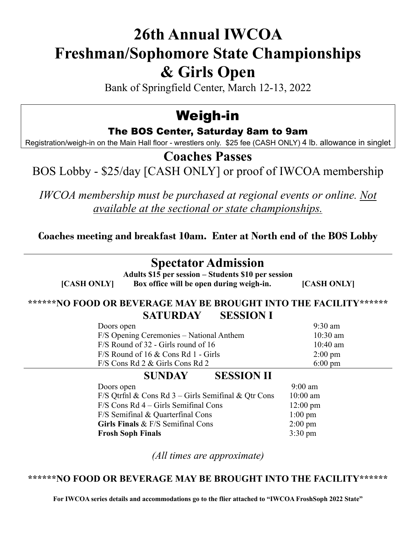# **26th Annual IWCOA Freshman/Sophomore State Championships & Girls Open**

Bank of Springfield Center, March 12-13, 2022

## Weigh-in

#### The BOS Center, Saturday 8am to 9am

Registration/weigh-in on the Main Hall floor - wrestlers only. \$25 fee (CASH ONLY) 4 lb. allowance in singlet

### **Coaches Passes**

## BOS Lobby - \$25/day [CASH ONLY] or proof of IWCOA membership

*IWCOA membership must be purchased at regional events or online. Not available at the sectional or state championships.*

**Coaches meeting and breakfast 10am. Enter at North end of the BOS Lobby**

## **Spectator Admission**

**Adults \$15 per session – Students \$10 per session [CASH ONLY] Box office will be open during weigh-in. [CASH ONLY]**

#### **\*\*\*\*\*\*NO FOOD OR BEVERAGE MAY BE BROUGHT INTO THE FACILITY\*\*\*\*\*\* SATURDAY SESSION I**

| Doors open                               | $9:30$ am         |
|------------------------------------------|-------------------|
| F/S Opening Ceremonies – National Anthem | $10:30$ am        |
| $F/S$ Round of 32 - Girls round of 16    | 10:40 am          |
| $F/S$ Round of 16 & Cons Rd 1 - Girls    | $2:00 \text{ pm}$ |
| $F/S$ Cons Rd 2 & Girls Cons Rd 2        | $6:00 \text{ pm}$ |

### **SUNDAY SESSION II**

| Doors open                                            | $9:00$ am          |
|-------------------------------------------------------|--------------------|
| F/S Qtrfnl & Cons Rd $3$ – Girls Semifinal & Qtr Cons | $10:00$ am         |
| $F/S$ Cons Rd 4 – Girls Semifinal Cons                | $12:00 \text{ pm}$ |
| F/S Semifinal & Quarterfinal Cons                     | $1:00 \text{ pm}$  |
| Girls Finals & F/S Semifinal Cons                     | $2:00 \text{ pm}$  |
| <b>Frosh Soph Finals</b>                              | $3:30 \text{ pm}$  |

*(All times are approximate)*

#### **\*\*\*\*\*\*NO FOOD OR BEVERAGE MAY BE BROUGHT INTO THE FACILITY\*\*\*\*\*\***

**For IWCOA series details and accommodations go to the flier attached to "IWCOA FroshSoph 2022 State"**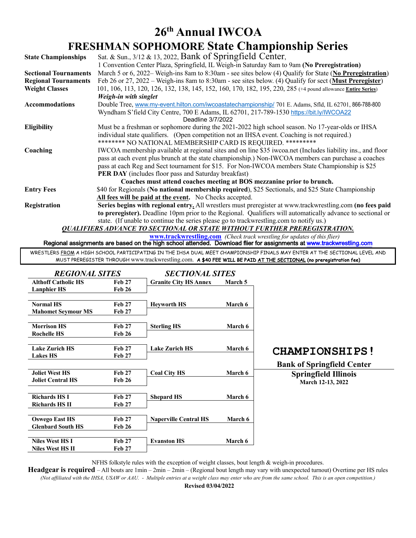## **26th Annual IWCOA FRESHMAN SOPHOMORE State Championship Series**

| <b>State Championships</b>                                            | Sat. & Sun., 3/12 & 13, 2022, Bank of Springfield Center,                                                    |  |  |  |
|-----------------------------------------------------------------------|--------------------------------------------------------------------------------------------------------------|--|--|--|
|                                                                       | 1 Convention Center Plaza, Springfield, IL Weigh-in Saturday 8am to 9am (No Preregistration)                 |  |  |  |
| <b>Sectional Tournaments</b>                                          | March 5 or 6, 2022– Weigh-ins 8am to 8:30am - see sites below (4) Qualify for State (No Preregistration)     |  |  |  |
| <b>Regional Tournaments</b>                                           | Feb 26 or 27, 2022 – Weigh-ins 8am to 8:30am - see sites below. (4) Qualify for sect (Must Preregister)      |  |  |  |
| <b>Weight Classes</b>                                                 | 101, 106, 113, 120, 126, 132, 138, 145, 152, 160, 170, 182, 195, 220, 285 (+4 pound allowance Entire Series) |  |  |  |
|                                                                       | Weigh-in with singlet                                                                                        |  |  |  |
| <b>Accommodations</b>                                                 | Double Tree, www.my-event.hilton.com/iwcoastatechampionship/ 701 E. Adams, Sfld, IL 62701, 866-788-800       |  |  |  |
|                                                                       | Wyndham S'field City Centre, 700 E Adams, IL 62701, 217-789-1530 https://bit.ly/lWCOA22                      |  |  |  |
|                                                                       | Deadline 3/7/2022                                                                                            |  |  |  |
| <b>Eligibility</b>                                                    | Must be a freshman or sophomore during the 2021-2022 high school season. No 17-year-olds or IHSA             |  |  |  |
|                                                                       | individual state qualifiers. (Open competition not an IHSA event. Coaching is not required.)                 |  |  |  |
|                                                                       | ******** NO NATIONAL MEMBERSHIP CARD IS REQUIRED. *********                                                  |  |  |  |
| Coaching                                                              | IWCOA membership available at regional sites and on line \$35 iwcoa.net (Includes liability ins., and floor  |  |  |  |
|                                                                       | pass at each event plus brunch at the state championship.) Non-IWCOA members can purchase a coaches          |  |  |  |
|                                                                       | pass at each Reg and Sect tournament for \$15. For Non-IWCOA members State Championship is \$25              |  |  |  |
|                                                                       | <b>PER DAY</b> (includes floor pass and Saturday breakfast)                                                  |  |  |  |
| Coaches must attend coaches meeting at BOS mezzanine prior to brunch. |                                                                                                              |  |  |  |
| <b>Entry Fees</b>                                                     | \$40 for Regionals (No national membership required), \$25 Sectionals, and \$25 State Championship           |  |  |  |
|                                                                       | All fees will be paid at the event. No Checks accepted.                                                      |  |  |  |
| Registration                                                          | Series begins with regional entry. All wrestlers must preregister at www.trackwrestling.com (no fees paid    |  |  |  |
|                                                                       | to preregister). Deadline 10pm prior to the Regional. Qualifiers will automatically advance to sectional or  |  |  |  |
|                                                                       | state. (If unable to continue the series please go to trackwrestling.com to notify us.)                      |  |  |  |
|                                                                       | <b>OUALIFIERS ADVANCE TO SECTIONAL OR STATE WITHOUT FURTHER PREREGISTRATION.</b>                             |  |  |  |

**www.trackwrestling.com** *(Check track wrestling for updates of this flier)*

Regional assignments are based on the high school attended. Download flier for assignments at www.trackwrestling.com

WRESTLERS FROM A HIGH SCHOOL PARTICIPATING IN THE IHSA DUAL MEET CHAMPIONSHIP FINALS MAY ENTER AT THE SECTIONAL LEVEL AND MUST PREREGISTER THROUGH www.trackwrestling.com. A \$40 FEE WILL BE PAID AT THE SECTIONAL (no preregistration fee)

| <b>REGIONAL SITES</b>      |               | <b>SECTIONAL SITES</b>       |                |                                   |
|----------------------------|---------------|------------------------------|----------------|-----------------------------------|
| <b>Althoff Catholic HS</b> | <b>Feb 27</b> | <b>Granite City HS Annex</b> | March 5        |                                   |
| <b>Lanphier HS</b>         | <b>Feb 26</b> |                              |                |                                   |
|                            |               |                              |                |                                   |
| <b>Normal HS</b>           | <b>Feb 27</b> | <b>Heyworth HS</b>           | <b>March 6</b> |                                   |
| <b>Mahomet Seymour MS</b>  | <b>Feb 27</b> |                              |                |                                   |
| <b>Morrison HS</b>         | <b>Feb 27</b> | <b>Sterling HS</b>           | March 6        |                                   |
| <b>Rochelle HS</b>         | <b>Feb 26</b> |                              |                |                                   |
| <b>Lake Zurich HS</b>      | <b>Feb 27</b> | <b>Lake Zurich HS</b>        | March 6        |                                   |
| <b>Lakes HS</b>            | <b>Feb 27</b> |                              |                | <b>CHAMPIONSHIPS!</b>             |
|                            |               |                              |                | <b>Bank of Springfield Center</b> |
| <b>Joliet West HS</b>      | <b>Feb 27</b> | <b>Coal City HS</b>          | March 6        | <b>Springfield Illinois</b>       |
| <b>Joliet Central HS</b>   | <b>Feb 26</b> |                              |                | March 12-13, 2022                 |
| <b>Richards HSI</b>        |               |                              |                |                                   |
|                            | <b>Feb 27</b> | <b>Shepard HS</b>            | March 6        |                                   |
| <b>Richards HS II</b>      | <b>Feb 27</b> |                              |                |                                   |
| <b>Oswego East HS</b>      | <b>Feb 27</b> | <b>Naperville Central HS</b> | March 6        |                                   |
| <b>Glenbard South HS</b>   | <b>Feb 26</b> |                              |                |                                   |
| <b>Niles West HS I</b>     | <b>Feb 27</b> | <b>Evanston HS</b>           | <b>March 6</b> |                                   |
| <b>Niles West HS II</b>    | <b>Feb 27</b> |                              |                |                                   |

NFHS folkstyle rules with the exception of weight classes, bout length & weigh-in procedures.

**Headgear is required** – All bouts are 1min – 2min – 2min – (Regional bout length may vary with unexpected turnout) Overtime per HS rules *(Not affiliated with the IHSA, USAW or AAU. - Multiple entries at a weight class may enter who are from the same school. This is an open competition.)*

 **Revised 03/04/2022**